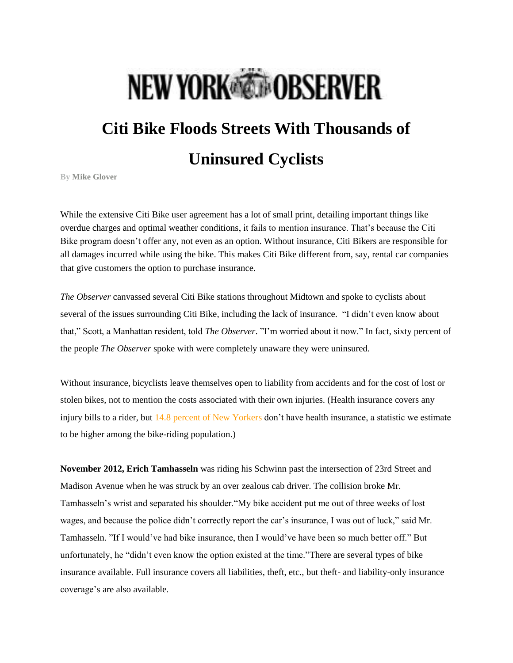## **NEW YORK COBSERVER**

## **Citi Bike Floods Streets With Thousands of Uninsured Cyclists**

**By [Mike Glover](http://observer.com/author/mike-glover/)**

While the extensive Citi Bike user agreement has a lot of small print, detailing important things like overdue charges and optimal weather conditions, it fails to mention insurance. That's because the Citi Bike program doesn't offer any, not even as an option. Without insurance, Citi Bikers are responsible for all damages incurred while using the bike. This makes Citi Bike different from, say, rental car companies that give customers the option to purchase insurance.

*The Observer* canvassed several Citi Bike stations throughout Midtown and spoke to cyclists about several of the issues surrounding Citi Bike, including the lack of insurance. "I didn't even know about that," Scott, a Manhattan resident, told *The Observer*. "I'm worried about it now." In fact, sixty percent of the people *The Observer* spoke with were completely unaware they were uninsured.

Without insurance, bicyclists leave themselves open to liability from accidents and for the cost of lost or stolen bikes, not to mention the costs associated with their own injuries. (Health insurance covers any injury bills to a rider, but [14.8 percent of New Yorkers](http://www.census.gov/compendia/statab/cats/health_nutrition/health_insurance.html) don't have health insurance, a statistic we estimate to be higher among the bike-riding population.)

**November 2012, Erich Tamhasseln** was riding his Schwinn past the intersection of 23rd Street and Madison Avenue when he was struck by an over zealous cab driver. The collision broke Mr. Tamhasseln's wrist and separated his shoulder."My bike accident put me out of three weeks of lost wages, and because the police didn't correctly report the car's insurance, I was out of luck," said Mr. Tamhasseln. "If I would've had bike insurance, then I would've have been so much better off." But unfortunately, he "didn't even know the option existed at the time."There are several types of bike insurance available. Full insurance covers all liabilities, theft, etc., but theft- and liability-only insurance coverage's are also available.